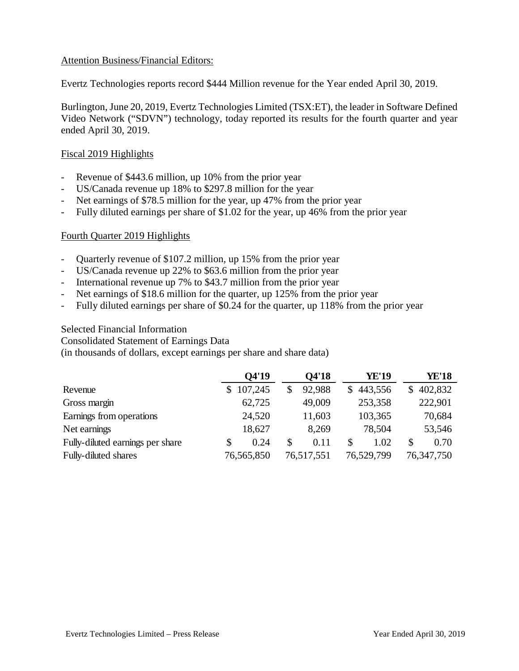# Attention Business/Financial Editors:

Evertz Technologies reports record \$444 Million revenue for the Year ended April 30, 2019.

Burlington, June 20, 2019, Evertz Technologies Limited (TSX:ET), the leader in Software Defined Video Network ("SDVN") technology, today reported its results for the fourth quarter and year ended April 30, 2019.

# Fiscal 2019 Highlights

- Revenue of \$443.6 million, up 10% from the prior year
- US/Canada revenue up 18% to \$297.8 million for the year
- Net earnings of \$78.5 million for the year, up 47% from the prior year
- Fully diluted earnings per share of \$1.02 for the year, up 46% from the prior year

# Fourth Quarter 2019 Highlights

- Quarterly revenue of \$107.2 million, up 15% from the prior year
- US/Canada revenue up 22% to \$63.6 million from the prior year
- International revenue up 7% to \$43.7 million from the prior year
- Net earnings of \$18.6 million for the quarter, up 125% from the prior year
- Fully diluted earnings per share of \$0.24 for the quarter, up 118% from the prior year

## Selected Financial Information

Consolidated Statement of Earnings Data

(in thousands of dollars, except earnings per share and share data)

|                                  |    | Q4'19      | Q4'18      |    | <b>YE'19</b> | <b>YE'18</b> |
|----------------------------------|----|------------|------------|----|--------------|--------------|
| Revenue                          | S  | 107,245    | 92,988     | S. | 443,556      | 402,832      |
| Gross margin                     |    | 62,725     | 49,009     |    | 253,358      | 222,901      |
| Earnings from operations         |    | 24,520     | 11,603     |    | 103,365      | 70,684       |
| Net earnings                     |    | 18,627     | 8,269      |    | 78,504       | 53,546       |
| Fully-diluted earnings per share | \$ | 0.24       | 0.11       | \$ | 1.02         | \$<br>0.70   |
| Fully-diluted shares             |    | 76,565,850 | 76,517,551 |    | 76,529,799   | 76, 347, 750 |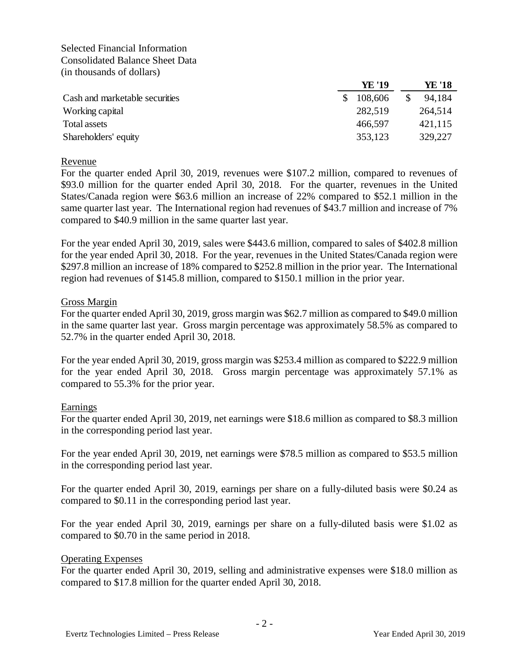Selected Financial Information Consolidated Balance Sheet Data (in thousands of dollars)

|                                | YE '19  | YE '18  |
|--------------------------------|---------|---------|
| Cash and marketable securities | 108,606 | 94,184  |
| Working capital                | 282,519 | 264,514 |
| Total assets                   | 466,597 | 421,115 |
| Shareholders' equity           | 353,123 | 329,227 |

#### Revenue

For the quarter ended April 30, 2019, revenues were \$107.2 million, compared to revenues of \$93.0 million for the quarter ended April 30, 2018. For the quarter, revenues in the United States/Canada region were \$63.6 million an increase of 22% compared to \$52.1 million in the same quarter last year. The International region had revenues of \$43.7 million and increase of 7% compared to \$40.9 million in the same quarter last year.

For the year ended April 30, 2019, sales were \$443.6 million, compared to sales of \$402.8 million for the year ended April 30, 2018. For the year, revenues in the United States/Canada region were \$297.8 million an increase of 18% compared to \$252.8 million in the prior year. The International region had revenues of \$145.8 million, compared to \$150.1 million in the prior year.

#### Gross Margin

For the quarter ended April 30, 2019, gross margin was \$62.7 million as compared to \$49.0 million in the same quarter last year. Gross margin percentage was approximately 58.5% as compared to 52.7% in the quarter ended April 30, 2018.

For the year ended April 30, 2019, gross margin was \$253.4 million as compared to \$222.9 million for the year ended April 30, 2018. Gross margin percentage was approximately 57.1% as compared to 55.3% for the prior year.

## Earnings

For the quarter ended April 30, 2019, net earnings were \$18.6 million as compared to \$8.3 million in the corresponding period last year.

For the year ended April 30, 2019, net earnings were \$78.5 million as compared to \$53.5 million in the corresponding period last year.

For the quarter ended April 30, 2019, earnings per share on a fully-diluted basis were \$0.24 as compared to \$0.11 in the corresponding period last year.

For the year ended April 30, 2019, earnings per share on a fully-diluted basis were \$1.02 as compared to \$0.70 in the same period in 2018.

#### Operating Expenses

For the quarter ended April 30, 2019, selling and administrative expenses were \$18.0 million as compared to \$17.8 million for the quarter ended April 30, 2018.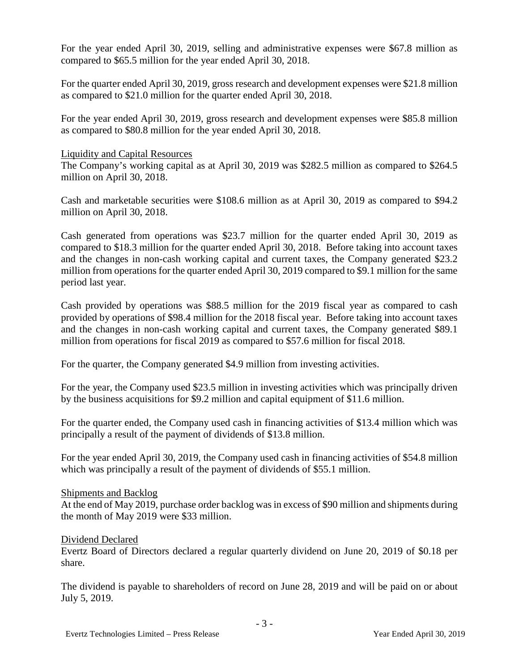For the year ended April 30, 2019, selling and administrative expenses were \$67.8 million as compared to \$65.5 million for the year ended April 30, 2018.

For the quarter ended April 30, 2019, gross research and development expenses were \$21.8 million as compared to \$21.0 million for the quarter ended April 30, 2018.

For the year ended April 30, 2019, gross research and development expenses were \$85.8 million as compared to \$80.8 million for the year ended April 30, 2018.

# Liquidity and Capital Resources

The Company's working capital as at April 30, 2019 was \$282.5 million as compared to \$264.5 million on April 30, 2018.

Cash and marketable securities were \$108.6 million as at April 30, 2019 as compared to \$94.2 million on April 30, 2018.

Cash generated from operations was \$23.7 million for the quarter ended April 30, 2019 as compared to \$18.3 million for the quarter ended April 30, 2018. Before taking into account taxes and the changes in non-cash working capital and current taxes, the Company generated \$23.2 million from operations for the quarter ended April 30, 2019 compared to \$9.1 million for the same period last year.

Cash provided by operations was \$88.5 million for the 2019 fiscal year as compared to cash provided by operations of \$98.4 million for the 2018 fiscal year. Before taking into account taxes and the changes in non-cash working capital and current taxes, the Company generated \$89.1 million from operations for fiscal 2019 as compared to \$57.6 million for fiscal 2018.

For the quarter, the Company generated \$4.9 million from investing activities.

For the year, the Company used \$23.5 million in investing activities which was principally driven by the business acquisitions for \$9.2 million and capital equipment of \$11.6 million.

For the quarter ended, the Company used cash in financing activities of \$13.4 million which was principally a result of the payment of dividends of \$13.8 million.

For the year ended April 30, 2019, the Company used cash in financing activities of \$54.8 million which was principally a result of the payment of dividends of \$55.1 million.

## Shipments and Backlog

At the end of May 2019, purchase order backlog was in excess of \$90 million and shipments during the month of May 2019 were \$33 million.

## Dividend Declared

Evertz Board of Directors declared a regular quarterly dividend on June 20, 2019 of \$0.18 per share.

The dividend is payable to shareholders of record on June 28, 2019 and will be paid on or about July 5, 2019.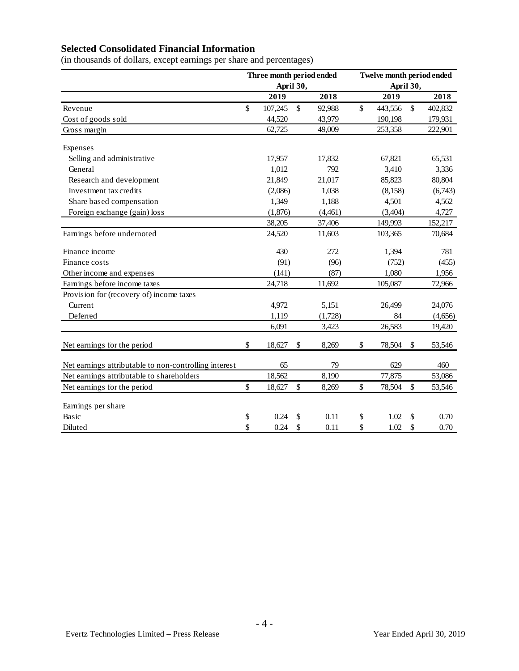# **Selected Consolidated Financial Information**

(in thousands of dollars, except earnings per share and percentages)

|                                                       | Three month period ended<br>April 30, |         |                           | Twelve month period ended |           |         |               |         |
|-------------------------------------------------------|---------------------------------------|---------|---------------------------|---------------------------|-----------|---------|---------------|---------|
|                                                       |                                       |         |                           |                           | April 30, |         |               |         |
|                                                       |                                       | 2019    |                           | 2018                      |           | 2019    |               | 2018    |
| Revenue                                               | \$                                    | 107,245 | $\mathcal{S}$             | 92,988                    | \$        | 443,556 | $\mathcal{S}$ | 402,832 |
| Cost of goods sold                                    |                                       | 44,520  |                           | 43,979                    |           | 190,198 |               | 179,931 |
| Gross margin                                          |                                       | 62,725  |                           | 49,009                    |           | 253,358 |               | 222,901 |
| Expenses                                              |                                       |         |                           |                           |           |         |               |         |
| Selling and administrative                            |                                       | 17,957  |                           | 17,832                    |           | 67,821  |               | 65,531  |
| General                                               |                                       | 1,012   |                           | 792                       |           | 3,410   |               | 3,336   |
| Research and development                              |                                       | 21,849  |                           | 21,017                    |           | 85,823  |               | 80,804  |
| Investment tax credits                                |                                       | (2,086) |                           | 1,038                     |           | (8,158) |               | (6,743) |
| Share based compensation                              |                                       | 1,349   |                           | 1,188                     |           | 4,501   |               | 4,562   |
| Foreign exchange (gain) loss                          |                                       | (1,876) |                           | (4,461)                   |           | (3,404) |               | 4,727   |
|                                                       |                                       | 38,205  |                           | 37,406                    |           | 149,993 |               | 152,217 |
| Earnings before undernoted                            |                                       | 24,520  |                           | 11,603                    |           | 103,365 |               | 70,684  |
| Finance income                                        |                                       | 430     |                           | 272                       |           | 1,394   |               | 781     |
| Finance costs                                         |                                       | (91)    |                           | (96)                      |           | (752)   |               | (455)   |
| Other income and expenses                             |                                       | (141)   |                           | (87)                      |           | 1,080   |               | 1,956   |
| Earnings before income taxes                          |                                       | 24,718  |                           | 11,692                    |           | 105,087 |               | 72,966  |
| Provision for (recovery of) income taxes              |                                       |         |                           |                           |           |         |               |         |
| Current                                               |                                       | 4,972   |                           | 5,151                     |           | 26,499  |               | 24,076  |
| Deferred                                              |                                       | 1,119   |                           | (1,728)                   |           | 84      |               | (4,656) |
|                                                       |                                       | 6,091   |                           | 3,423                     |           | 26,583  |               | 19,420  |
| Net earnings for the period                           | \$                                    | 18,627  | \$                        | 8,269                     | \$        | 78,504  | \$            | 53,546  |
| Net earnings attributable to non-controlling interest |                                       | 65      |                           | 79                        |           | 629     |               | 460     |
| Net earnings attributable to shareholders             |                                       | 18,562  |                           | 8,190                     |           | 77,875  |               | 53,086  |
| Net earnings for the period                           | \$                                    | 18,627  | $\boldsymbol{\mathsf{S}}$ | 8,269                     | \$        | 78,504  | \$            | 53,546  |
| Earnings per share                                    |                                       |         |                           |                           |           |         |               |         |
| Basic                                                 | \$                                    | 0.24    | \$                        | 0.11                      | \$        | 1.02    | \$            | 0.70    |
| Diluted                                               | \$                                    | 0.24    | \$                        | 0.11                      | \$        | 1.02    | \$            | 0.70    |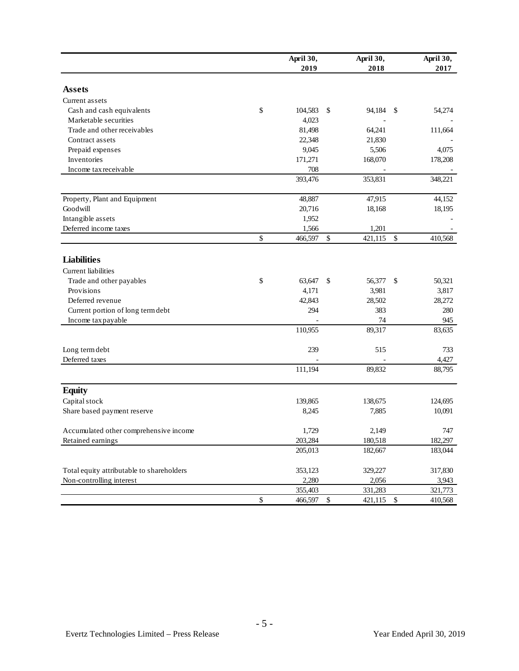|                                           |              | April 30,<br>2019 |              | April 30,<br>2018 |               | April 30,<br>2017 |
|-------------------------------------------|--------------|-------------------|--------------|-------------------|---------------|-------------------|
| <b>Assets</b>                             |              |                   |              |                   |               |                   |
| Current assets                            |              |                   |              |                   |               |                   |
| Cash and cash equivalents                 | \$           | 104,583           | \$           | 94,184            | -S            | 54,274            |
| Marketable securities                     |              | 4,023             |              |                   |               |                   |
| Trade and other receivables               |              | 81,498            |              | 64,241            |               | 111,664           |
| Contract assets                           |              | 22,348            |              | 21,830            |               |                   |
| Prepaid expenses                          |              | 9,045             |              | 5,506             |               | 4,075             |
| Inventories                               |              | 171,271           |              | 168,070           |               | 178,208           |
| Income tax receivable                     |              | 708               |              |                   |               |                   |
|                                           |              | 393,476           |              | 353,831           |               | 348,221           |
| Property, Plant and Equipment             |              | 48,887            |              | 47,915            |               | 44,152            |
| Goodwill                                  |              | 20,716            |              | 18,168            |               | 18,195            |
| Intangible assets                         |              | 1,952             |              |                   |               |                   |
| Deferred income taxes                     |              | 1,566             |              | 1,201             |               |                   |
|                                           | \$           | 466,597           | $\mathbb{S}$ | 421,115           | $\mathcal{S}$ | 410,568           |
| <b>Liabilities</b>                        |              |                   |              |                   |               |                   |
| Current liabilities                       |              |                   |              |                   |               |                   |
| Trade and other payables                  | \$           | 63,647            | \$           | 56,377            | -\$           | 50,321            |
| Provisions                                |              | 4,171             |              | 3,981             |               | 3,817             |
| Deferred revenue                          |              | 42,843            |              | 28,502            |               | 28,272            |
| Current portion of long term debt         |              | 294               |              | 383               |               | 280               |
| Income tax payable                        |              |                   |              | 74                |               | 945               |
|                                           |              | 110,955           |              | 89,317            |               | 83,635            |
| Long term debt                            |              | 239               |              | 515               |               | 733               |
| Deferred taxes                            |              |                   |              |                   |               | 4,427             |
|                                           |              | 111,194           |              | 89,832            |               | 88,795            |
| <b>Equity</b>                             |              |                   |              |                   |               |                   |
| Capital stock                             |              | 139,865           |              | 138,675           |               | 124,695           |
| Share based payment reserve               |              | 8,245             |              | 7,885             |               | 10,091            |
| Accumulated other comprehensive income    |              | 1,729             |              | 2,149             |               | 747               |
| Retained earnings                         |              | 203,284           |              | 180,518           |               | 182,297           |
|                                           |              | 205,013           |              | 182,667           |               | 183,044           |
| Total equity attributable to shareholders |              | 353,123           |              | 329,227           |               | 317,830           |
| Non-controlling interest                  |              | 2,280             |              | 2,056             |               | 3,943             |
|                                           |              | 355,403           |              | 331,283           |               | 321,773           |
|                                           | $\mathbb{S}$ | 466,597           | \$           | 421,115 \$        |               | 410,568           |